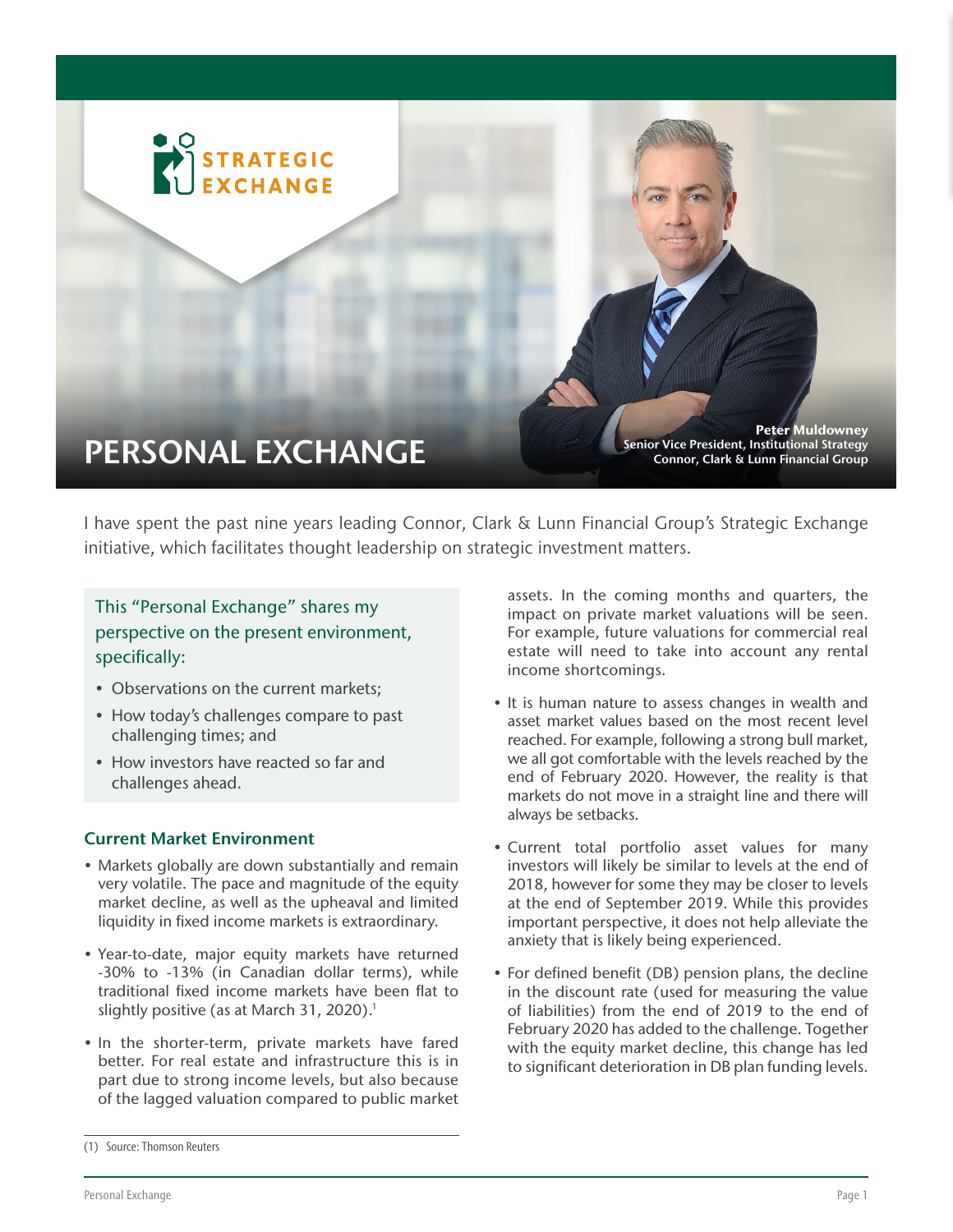

I have spent the past nine years leading Connor, Clark & Lunn Financial Group's Strategic Exchange initiative, which facilitates thought leadership on strategic investment matters.

# This "Personal Exchange" shares my perspective on the present environment, specifically:

- Observations on the current markets;
- How today's challenges compare to past challenging times; and
- How investors have reacted so far and challenges ahead.

## Current Market Environment

- Markets globally are down substantially and remain very volatile. The pace and magnitude of the equity market decline, as well as the upheaval and limited liquidity in fixed income markets is extraordinary.
- Year-to-date, major equity markets have returned -30% to -13% (in Canadian dollar terms), while traditional fixed income markets have been flat to slightly positive (as at March 31, 2020). 1
- In the shorter-term, private markets have fared better. For real estate and infrastructure this is in part due to strong income levels, but also because of the lagged valuation compared to public market

assets. In the coming months and quarters, the impact on private market valuations will be seen. For example, future valuations for commercial real estate will need to take into account any rental income shortcomings.

- It is human nature to assess changes in wealth and asset market values based on the most recent level reached. For example, following a strong bull market, we all got comfortable with the levels reached by the end of February 2020. However, the reality is that markets do not move in a straight line and there will always be setbacks.
- Current total portfolio asset values for many investors will likely be similar to levels at the end of 2018, however for some they may be closer to levels at the end of September 2019. While this provides important perspective, it does not help alleviate the anxiety that is likely being experienced.
- For defined benefit (DB) pension plans, the decline in the discount rate (used for measuring the value of liabilities) from the end of 2019 to the end of February 2020 has added to the challenge. Together with the equity market decline, this change has led to significant deterioration in DB plan funding levels.

<sup>(1)</sup> Source: Thomson Reuters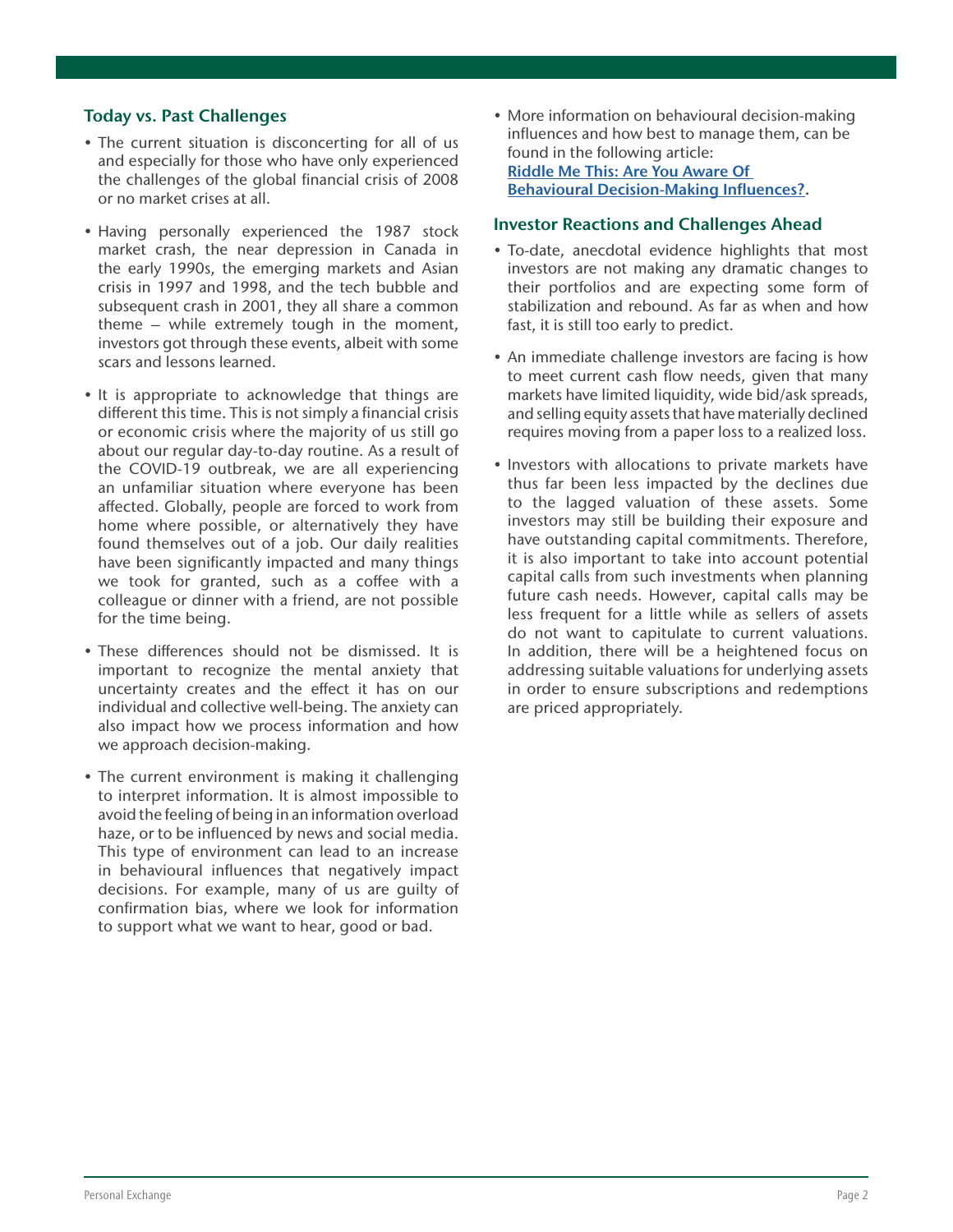### Today vs. Past Challenges

- The current situation is disconcerting for all of us and especially for those who have only experienced the challenges of the global financial crisis of 2008 or no market crises at all.
- Having personally experienced the 1987 stock market crash, the near depression in Canada in the early 1990s, the emerging markets and Asian crisis in 1997 and 1998, and the tech bubble and subsequent crash in 2001, they all share a common theme – while extremely tough in the moment, investors got through these events, albeit with some scars and lessons learned.
- It is appropriate to acknowledge that things are different this time. This is not simply a financial crisis or economic crisis where the majority of us still go about our regular day-to-day routine. As a result of the COVID-19 outbreak, we are all experiencing an unfamiliar situation where everyone has been affected. Globally, people are forced to work from home where possible, or alternatively they have found themselves out of a job. Our daily realities have been significantly impacted and many things we took for granted, such as a coffee with a colleague or dinner with a friend, are not possible for the time being.
- These differences should not be dismissed. It is important to recognize the mental anxiety that uncertainty creates and the effect it has on our individual and collective well-being. The anxiety can also impact how we process information and how we approach decision-making.
- The current environment is making it challenging to interpret information. It is almost impossible to avoid the feeling of being in an information overload haze, or to be influenced by news and social media. This type of environment can lead to an increase in behavioural influences that negatively impact decisions. For example, many of us are guilty of confirmation bias, where we look for information to support what we want to hear, good or bad.

• More information on behavioural decision-making influences and how best to manage them, can be found in the following article: [Riddle Me This: Are You Aware Of](https://www.cclgroup.com/docs/default-source/en/en-strategic-exchange/behavioural-pitfalls.pdf?sfvrsn=a39d36c8)  [Behavioural Decision-Making Influences?](https://www.cclgroup.com/docs/default-source/en/en-strategic-exchange/behavioural-pitfalls.pdf?sfvrsn=a39d36c8).

#### Investor Reactions and Challenges Ahead

- To-date, anecdotal evidence highlights that most investors are not making any dramatic changes to their portfolios and are expecting some form of stabilization and rebound. As far as when and how fast, it is still too early to predict.
- An immediate challenge investors are facing is how to meet current cash flow needs, given that many markets have limited liquidity, wide bid/ask spreads, and selling equity assets that have materially declined requires moving from a paper loss to a realized loss.
- Investors with allocations to private markets have thus far been less impacted by the declines due to the lagged valuation of these assets. Some investors may still be building their exposure and have outstanding capital commitments. Therefore, it is also important to take into account potential capital calls from such investments when planning future cash needs. However, capital calls may be less frequent for a little while as sellers of assets do not want to capitulate to current valuations. In addition, there will be a heightened focus on addressing suitable valuations for underlying assets in order to ensure subscriptions and redemptions are priced appropriately.